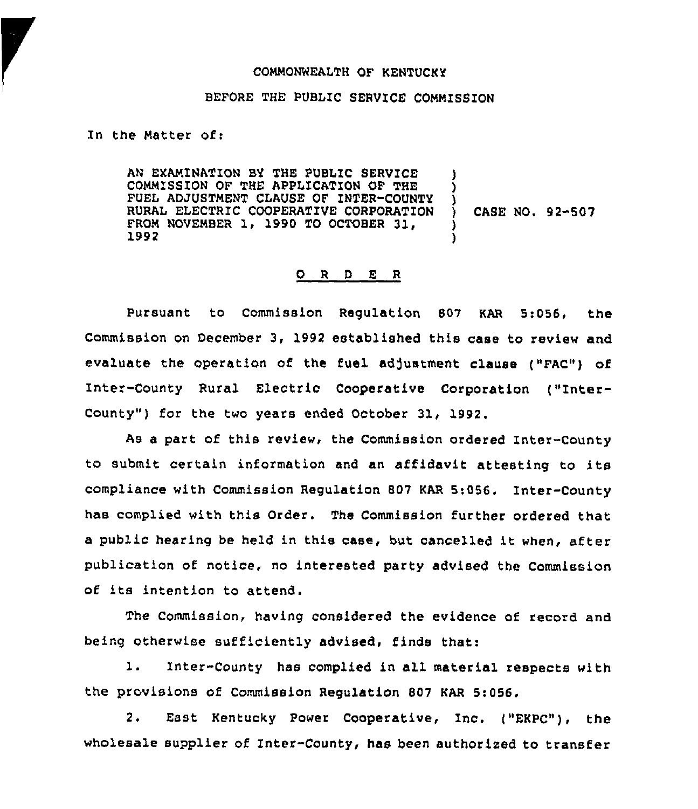#### COMMONNEALTH OF KENTUCKY

# BEFORE THE PUBLIC SERVICE COMMISSION

In the Matter of:

AN EXAMINATION BY THE PUBLIC SERVICE COMMISSION OF THE APPLICATION OF THE FUEL ADJUSTMENT CLAUSE OF INTER-COUNTY RURAL ELECTRIC COOPERATIVE CORPORATION FROM NOVEMBER 1, 1990 TO OCTOBER 31, 1992 ) ) } CASE NO. 92-507 ) )

#### 0 <sup>R</sup> <sup>D</sup> E <sup>R</sup>

pursuant to Commission Regulation 807 KAR 5:056, the Commission on December 3, 1992 established this case to review and evaluate the operation of the fuel adjustment clause ("FAC") of Inter-County Rural Electric Cooperative Corporation ("Inter-County"} for the two years ended October 31, 1992.

As a part of this review, the Commission ordered Inter-County to submit certain information and an affidavit attesting to its compliance with Commission Regulation 807 KAR 5:056. Inter-County has complied with this Order. The Commission further ordered that <sup>a</sup> public hearing be held in this case, but cancelled it when, after publication of notice, no interested party advised the Commission of its intention to attend.

The Commission, having considered the evidence of record and being otherwise sufficiently advised, finds that:

l. Inter-County has complied in all material respects with the provisions of Commission Regulation 807 KAR 5:056.

2. East Kentucky Power Cooperative, Inc. ("EKPC"), the wholesale supplier of Inter-County, has been authorized to transfer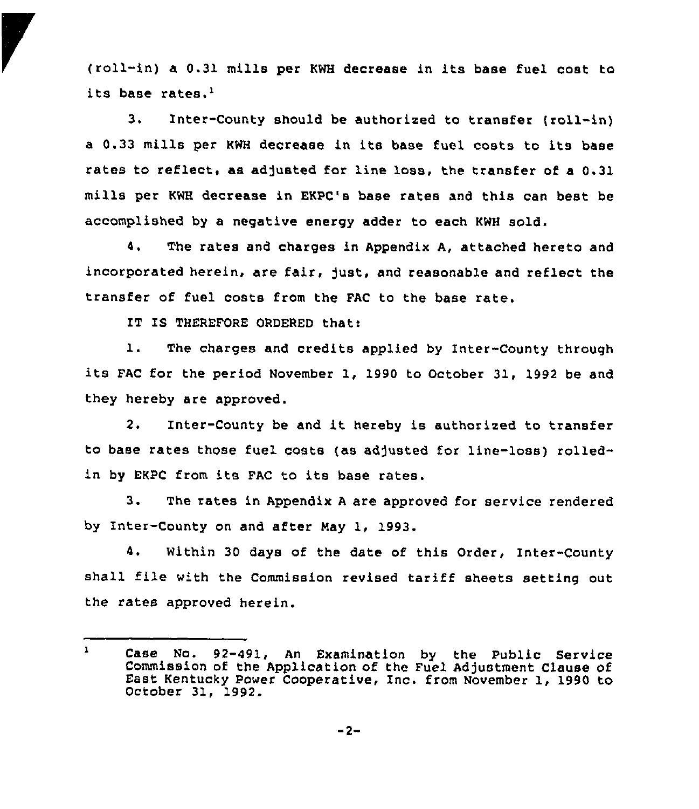(roll-in) a 0.31 mills per KWH decrease in its base fuel cost to its base rates.'.

 $3.$ Inter-County should be authorized to transfer (roll-in) <sup>a</sup> 0.33 mills per KWH decrease in its base fuel costs to its base rates to reflect, as adjusted for line loss, the transfer of a 0.31 mills per KWH decrease in EKPC's base rates and this can best be accomplished by a negative energy adder to each KWH 801d.

4, The rates and charges in Appendix A, attached hereto and incorporated herein, are fair, just, and reasonable and reflect the transfer of fuel costs from the FAC to the base rate.

IT IS THEREFORE ORDERED that:

1. The charges and credits applied by Inter-County through its FAC for the period November 1, <sup>1990</sup> to October 31, <sup>1992</sup> be and they hereby are approved.

2. Inter-County be and it hereby is authorized to transfer to base rates those fuel costs (as adjusted for line-loss) rolledin by EKPC from its FAC to its base rates.

3. The rates in Appendix A are approved for service rendered by Inter-County on and after Nay 1, 1993.

4. Within 30 days of the date of this Order, Inter-County shall flie with the Commission revised tariff sheets setting out the rates approved herein.

 $\mathbf{1}$ Case No. 92-491, An Examination by the Public service Commission of the Application of the Fuel Adjustment clause of East Kentucky power Cooperative, Inc. from November 1, <sup>1990</sup> to October 31, 1992.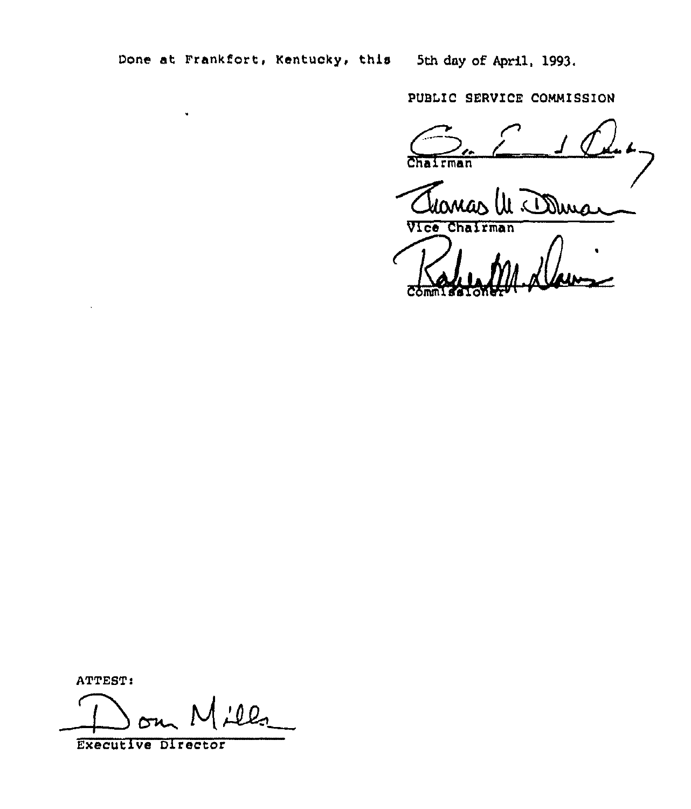Done at Frankfort, Kentucky, this 5th day of April, 1993.

PUBLIC SERVICE COMMISSION

 $\sum_{\alpha}$ 

Ul Bura

Vice Chairman Commissioner

ATTEST:

<u>:Il.,</u>  $\rightarrow$ 

Executive Director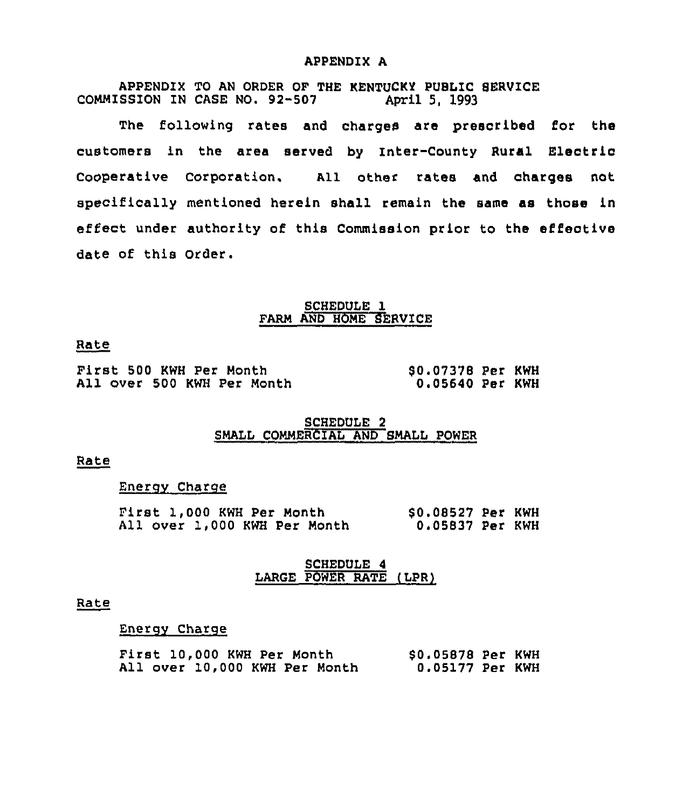## APPENDIX A

APPENDIX TO AN ORDER OF THE KENTUCKY PUBLIC 8ERVICE COMMISSION IN CASE NO. 92-507

The following rates and charges are prescribed for the customers in the area served by Inter-County Rural Electric cooperative corporation. All other rates and charges not specifically mentioned herein shall remain the same as those in effect under authority of this Commission prior to the effective date of this Order.

# SCHEDULE 1 FARM AND HOME SERVICE

## Rate

First 500 KWH Per Month All over 500 KWH Per Month 80.07378 Per KWH 0.05640 Per KWH

# SCHEDULE 2 SMALL COMMERCIAL AND SMALL POWER

#### Rate

## Energy Charge

|  | First 1,000 KWH Per Month    |  | \$0.08527 Per KWH |  |
|--|------------------------------|--|-------------------|--|
|  | All over 1,000 KWH Per Month |  | 0.05837 Per KWH   |  |

# SCHEDULE 4 LARGE POWER RATE (LPR)

#### Rate

## Energv Charge

|  | First 10,000 KWH Per Month    |  |  | \$0.05878 Per KWH |  |
|--|-------------------------------|--|--|-------------------|--|
|  | All over 10,000 KWH Per Month |  |  | 0.05177 Per KWH   |  |